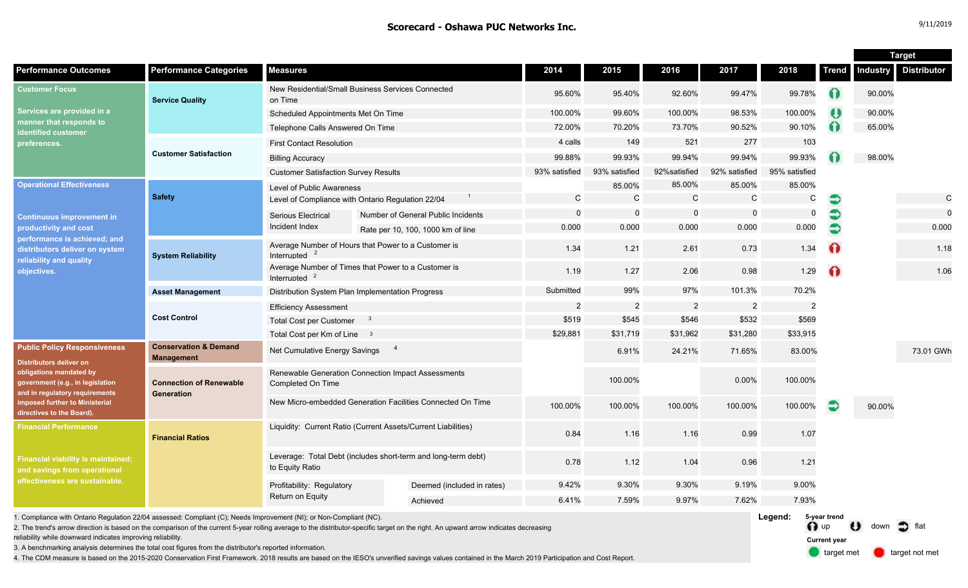|                                                                                                                                                                                                                                       |                                                       |                                                                                  |  |                                    |                |                |                |                |               |                | <b>Target</b> |                    |
|---------------------------------------------------------------------------------------------------------------------------------------------------------------------------------------------------------------------------------------|-------------------------------------------------------|----------------------------------------------------------------------------------|--|------------------------------------|----------------|----------------|----------------|----------------|---------------|----------------|---------------|--------------------|
| <b>Performance Outcomes</b>                                                                                                                                                                                                           | <b>Performance Categories</b>                         | <b>Measures</b>                                                                  |  |                                    | 2014           | 2015           | 2016           | 2017           | 2018          | Trend          | Industry      | <b>Distributor</b> |
| <b>Customer Focus</b><br>Services are provided in a<br>manner that responds to<br>identified customer<br>preferences.                                                                                                                 | <b>Service Quality</b>                                | New Residential/Small Business Services Connected<br>on Time                     |  |                                    | 95.60%         | 95.40%         | 92.60%         | 99.47%         | 99.78%        | $\Omega$       | 90.00%        |                    |
|                                                                                                                                                                                                                                       |                                                       | Scheduled Appointments Met On Time                                               |  |                                    | 100.00%        | 99.60%         | 100.00%        | 98.53%         | 100.00%       | ₩              | 90.00%        |                    |
|                                                                                                                                                                                                                                       |                                                       | Telephone Calls Answered On Time                                                 |  |                                    | 72.00%         | 70.20%         | 73.70%         | 90.52%         | 90.10%        | Ω              | 65.00%        |                    |
|                                                                                                                                                                                                                                       | <b>Customer Satisfaction</b>                          | <b>First Contact Resolution</b>                                                  |  |                                    | 4 calls        | 149            | 521            | 277            | 103           |                |               |                    |
|                                                                                                                                                                                                                                       |                                                       | <b>Billing Accuracy</b>                                                          |  |                                    | 99.88%         | 99.93%         | 99.94%         | 99.94%         | 99.93%        |                | 98.00%        |                    |
|                                                                                                                                                                                                                                       |                                                       | <b>Customer Satisfaction Survey Results</b>                                      |  |                                    | 93% satisfied  | 93% satisfied  | 92%satisfied   | 92% satisfied  | 95% satisfied |                |               |                    |
| <b>Operational Effectiveness</b><br><b>Continuous improvement in</b><br>productivity and cost<br>performance is achieved; and<br>distributors deliver on system<br>reliability and quality<br>objectives.                             | <b>Safety</b>                                         | <b>Level of Public Awareness</b>                                                 |  |                                    |                | 85.00%         | 85.00%         | 85.00%         | 85.00%        |                |               |                    |
|                                                                                                                                                                                                                                       |                                                       | Level of Compliance with Ontario Regulation 22/04                                |  |                                    | C              | C              | $\mathsf{C}$   | $\mathsf C$    | С             | €              |               | $\mathsf{C}$       |
|                                                                                                                                                                                                                                       |                                                       | Serious Electrical                                                               |  | Number of General Public Incidents | $\Omega$       | $\Omega$       | $\mathbf 0$    | $\mathbf 0$    | $\mathbf 0$   | €              |               | $\mathbf 0$        |
|                                                                                                                                                                                                                                       |                                                       | Incident Index                                                                   |  | Rate per 10, 100, 1000 km of line  | 0.000          | 0.000          | 0.000          | 0.000          | 0.000         | $\ddot{\circ}$ |               | 0.000              |
|                                                                                                                                                                                                                                       | <b>System Reliability</b>                             | Average Number of Hours that Power to a Customer is<br>Interrupted               |  |                                    | 1.34           | 1.21           | 2.61           | 0.73           | 1.34          | ⋒              |               | 1.18               |
|                                                                                                                                                                                                                                       |                                                       | Average Number of Times that Power to a Customer is<br>Interrupted               |  |                                    | 1.19           | 1.27           | 2.06           | 0.98           | 1.29          | $\Omega$       |               | 1.06               |
|                                                                                                                                                                                                                                       | <b>Asset Management</b>                               | Distribution System Plan Implementation Progress                                 |  |                                    | Submitted      | 99%            | 97%            | 101.3%         | 70.2%         |                |               |                    |
|                                                                                                                                                                                                                                       | <b>Cost Control</b>                                   | <b>Efficiency Assessment</b>                                                     |  |                                    | $\overline{2}$ | $\overline{2}$ | $\overline{2}$ | $\overline{2}$ | 2             |                |               |                    |
|                                                                                                                                                                                                                                       |                                                       | <b>Total Cost per Customer</b><br>- 3                                            |  |                                    | \$519          | \$545          | \$546          | \$532          | \$569         |                |               |                    |
|                                                                                                                                                                                                                                       |                                                       | Total Cost per Km of Line 3                                                      |  |                                    | \$29,881       | \$31,719       | \$31,962       | \$31,280       | \$33,915      |                |               |                    |
| <b>Public Policy Responsiveness</b><br><b>Distributors deliver on</b><br>obligations mandated by<br>government (e.g., in legislation<br>and in regulatory requirements<br>imposed further to Ministerial<br>directives to the Board). | <b>Conservation &amp; Demand</b><br><b>Management</b> | $\overline{\phantom{a}}$<br>Net Cumulative Energy Savings                        |  |                                    |                | 6.91%          | 24.21%         | 71.65%         | 83.00%        |                |               | 73.01 GWh          |
|                                                                                                                                                                                                                                       | <b>Connection of Renewable</b><br>Generation          | Renewable Generation Connection Impact Assessments<br>Completed On Time          |  |                                    |                | 100.00%        |                | 0.00%          | 100.00%       |                |               |                    |
|                                                                                                                                                                                                                                       |                                                       | New Micro-embedded Generation Facilities Connected On Time                       |  |                                    | 100.00%        | 100.00%        | 100.00%        | 100.00%        | 100.00%       | €              | 90.00%        |                    |
| <b>Financial Performance</b><br><b>Financial viability is maintained;</b><br>and savings from operational<br>effectiveness are sustainable.                                                                                           | <b>Financial Ratios</b>                               | Liquidity: Current Ratio (Current Assets/Current Liabilities)                    |  |                                    | 0.84           | 1.16           | 1.16           | 0.99           | 1.07          |                |               |                    |
|                                                                                                                                                                                                                                       |                                                       | Leverage: Total Debt (includes short-term and long-term debt)<br>to Equity Ratio |  |                                    | 0.78           | 1.12           | 1.04           | 0.96           | 1.21          |                |               |                    |
|                                                                                                                                                                                                                                       |                                                       | Profitability: Regulatory<br>Return on Equity                                    |  | Deemed (included in rates)         | 9.42%          | 9.30%          | 9.30%          | 9.19%          | 9.00%         |                |               |                    |
|                                                                                                                                                                                                                                       |                                                       |                                                                                  |  | Achieved                           | 6.41%          | 7.59%          | 9.97%          | 7.62%          | 7.93%         |                |               |                    |

1. Compliance with Ontario Regulation 22/04 assessed: Compliant (C); Needs Improvement (NI); or Non-Compliant (NC).

2. The trend's arrow direction is based on the comparison of the current 5-year rolling average to the distributor-specific target on the right. An upward arrow indicates decreasing

reliability while downward indicates improving reliability.

3. A benchmarking analysis determines the total cost figures from the distributor's reported information.

4. The CDM measure is based on the 2015-2020 Conservation First Framework. 2018 results are based on the IESO's unverified savings values contained in the March 2019 Participation and Cost Report.

**Legend:** n up U down of flat **5-year trend**

> target met **target not met Current year**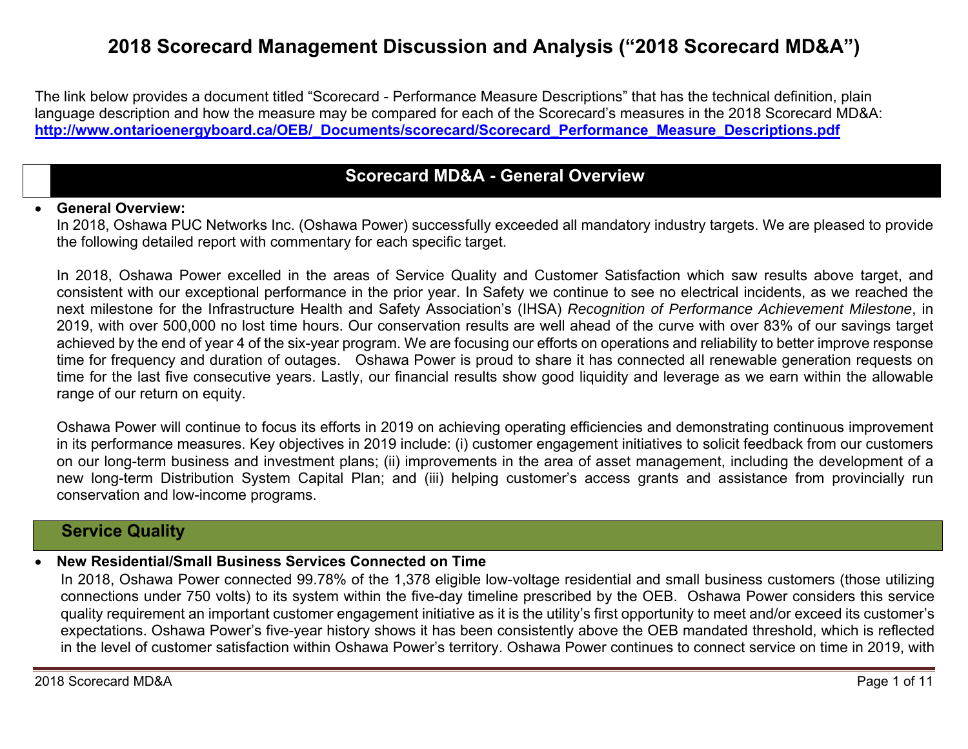# **2018 Scorecard Management Discussion and Analysis ("2018 Scorecard MD&A")**

The link below provides a document titled "Scorecard - Performance Measure Descriptions" that has the technical definition, plain language description and how the measure may be compared for each of the Scorecard's measures in the 2018 Scorecard MD&A: **http://www.ontarioenergyboard.ca/OEB/\_Documents/scorecard/Scorecard\_Performance\_Measure\_Descriptions.pdf** 

# **Scorecard MD&A - General Overview**

#### 0 **General Overview:**

In 2018, Oshawa PUC Networks Inc. (Oshawa Power) successfully exceeded all mandatory industry targets. We are pleased to provide the following detailed report with commentary for each specific target.

In 2018, Oshawa Power excelled in the areas of Service Quality and Customer Satisfaction which saw results above target, and consistent with our exceptional performance in the prior year. In Safety we continue to see no electrical incidents, as we reached the next milestone for the Infrastructure Health and Safety Association's (IHSA) *Recognition of Performance Achievement Milestone*, in 2019, with over 500,000 no lost time hours. Our conservation results are well ahead of the curve with over 83% of our savings target achieved by the end of year 4 of the six-year program. We are focusing our efforts on operations and reliability to better improve response time for frequency and duration of outages. Oshawa Power is proud to share it has connected all renewable generation requests on time for the last five consecutive years. Lastly, our financial results show good liquidity and leverage as we earn within the allowable range of our return on equity.

Oshawa Power will continue to focus its efforts in 2019 on achieving operating efficiencies and demonstrating continuous improvement in its performance measures. Key objectives in 2019 include: (i) customer engagement initiatives to solicit feedback from our customers on our long-term business and investment plans; (ii) improvements in the area of asset management, including the development of a new long-term Distribution System Capital Plan; and (iii) helping customer's access grants and assistance from provincially run conservation and low-income programs.

### **Service Quality**

#### 0 **New Residential/Small Business Services Connected on Time**

In 2018, Oshawa Power connected 99.78% of the 1,378 eligible low-voltage residential and small business customers (those utilizing connections under 750 volts) to its system within the five-day timeline prescribed by the OEB. Oshawa Power considers this service quality requirement an important customer engagement initiative as it is the utility's first opportunity to meet and/or exceed its customer's expectations. Oshawa Power's five-year history shows it has been consistently above the OEB mandated threshold, which is reflected in the level of customer satisfaction within Oshawa Power's territory. Oshawa Power continues to connect service on time in 2019, with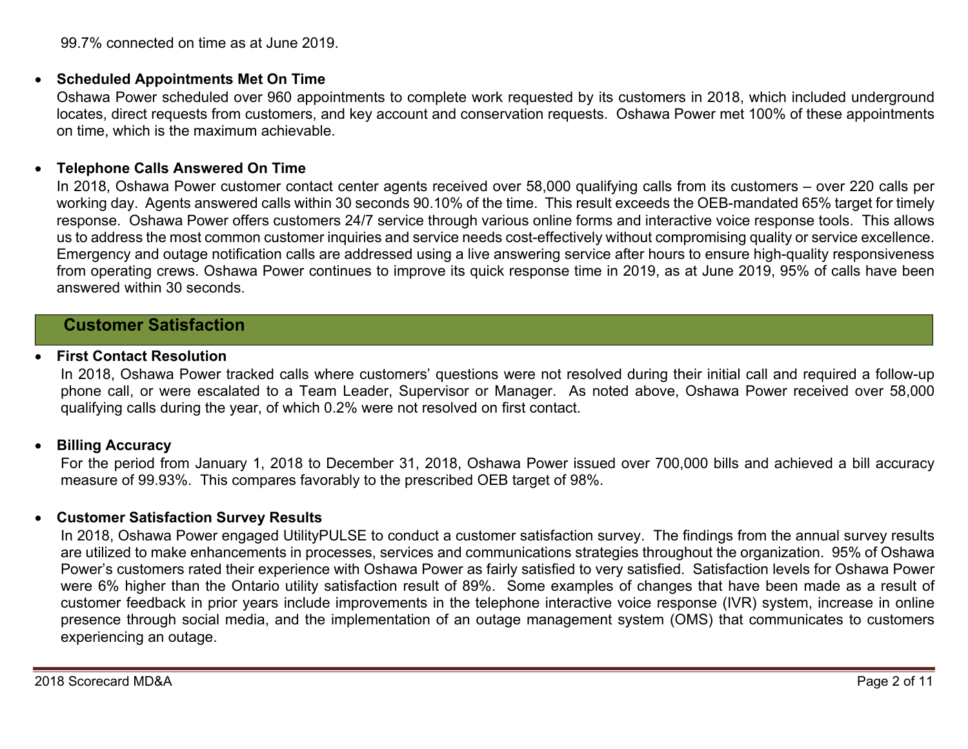99.7% connected on time as at June 2019.

### **Scheduled Appointments Met On Time**

Oshawa Power scheduled over 960 appointments to complete work requested by its customers in 2018, which included underground locates, direct requests from customers, and key account and conservation requests. Oshawa Power met 100% of these appointments on time, which is the maximum achievable.

#### $\bullet$ **Telephone Calls Answered On Time**

In 2018, Oshawa Power customer contact center agents received over 58,000 qualifying calls from its customers – over 220 calls per working day. Agents answered calls within 30 seconds 90.10% of the time. This result exceeds the OEB-mandated 65% target for timely response. Oshawa Power offers customers 24/7 service through various online forms and interactive voice response tools. This allows us to address the most common customer inquiries and service needs cost-effectively without compromising quality or service excellence. Emergency and outage notification calls are addressed using a live answering service after hours to ensure high-quality responsiveness from operating crews. Oshawa Power continues to improve its quick response time in 2019, as at June 2019, 95% of calls have been answered within 30 seconds.

# **Customer Satisfaction**

#### 0 **First Contact Resolution**

In 2018, Oshawa Power tracked calls where customers' questions were not resolved during their initial call and required a follow-up phone call, or were escalated to a Team Leader, Supervisor or Manager. As noted above, Oshawa Power received over 58,000 qualifying calls during the year, of which 0.2% were not resolved on first contact.

#### $\bullet$ **Billing Accuracy**

For the period from January 1, 2018 to December 31, 2018, Oshawa Power issued over 700,000 bills and achieved a bill accuracy measure of 99.93%. This compares favorably to the prescribed OEB target of 98%.

### **Customer Satisfaction Survey Results**

In 2018, Oshawa Power engaged UtilityPULSE to conduct a customer satisfaction survey. The findings from the annual survey results are utilized to make enhancements in processes, services and communications strategies throughout the organization. 95% of Oshawa Power's customers rated their experience with Oshawa Power as fairly satisfied to very satisfied. Satisfaction levels for Oshawa Power were 6% higher than the Ontario utility satisfaction result of 89%. Some examples of changes that have been made as a result of customer feedback in prior years include improvements in the telephone interactive voice response (IVR) system, increase in online presence through social media, and the implementation of an outage management system (OMS) that communicates to customers experiencing an outage.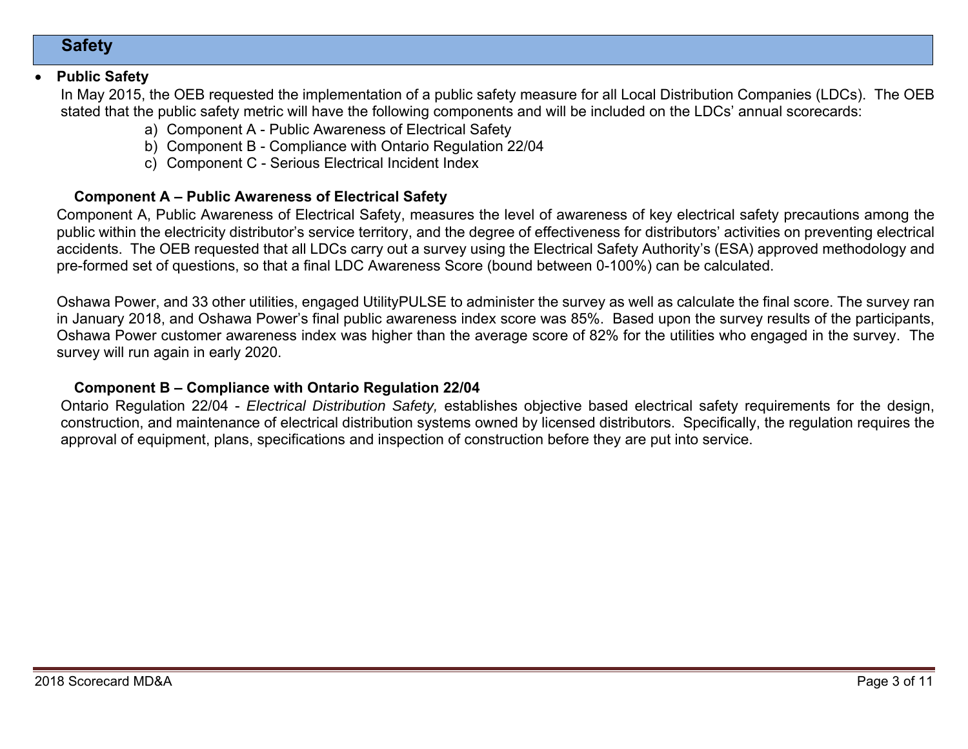# **Safety**

#### 0 **Public Safety**

In May 2015, the OEB requested the implementation of a public safety measure for all Local Distribution Companies (LDCs). The OEB stated that the public safety metric will have the following components and will be included on the LDCs' annual scorecards:

- a) Component A Public Awareness of Electrical Safety
- b) Component B Compliance with Ontario Regulation 22/04
- c) Component C Serious Electrical Incident Index

### **Component A – Public Awareness of Electrical Safety**

Component A, Public Awareness of Electrical Safety, measures the level of awareness of key electrical safety precautions among the public within the electricity distributor's service territory, and the degree of effectiveness for distributors' activities on preventing electrical accidents. The OEB requested that all LDCs carry out a survey using the Electrical Safety Authority's (ESA) approved methodology and pre-formed set of questions, so that a final LDC Awareness Score (bound between 0-100%) can be calculated.

Oshawa Power, and 33 other utilities, engaged UtilityPULSE to administer the survey as well as calculate the final score. The survey ran in January 2018, and Oshawa Power's final public awareness index score was 85%. Based upon the survey results of the participants, Oshawa Power customer awareness index was higher than the average score of 82% for the utilities who engaged in the survey. The survey will run again in early 2020.

### **Component B – Compliance with Ontario Regulation 22/04**

Ontario Regulation 22/04 - *Electrical Distribution Safety,* establishes objective based electrical safety requirements for the design, construction, and maintenance of electrical distribution systems owned by licensed distributors. Specifically, the regulation requires the approval of equipment, plans, specifications and inspection of construction before they are put into service.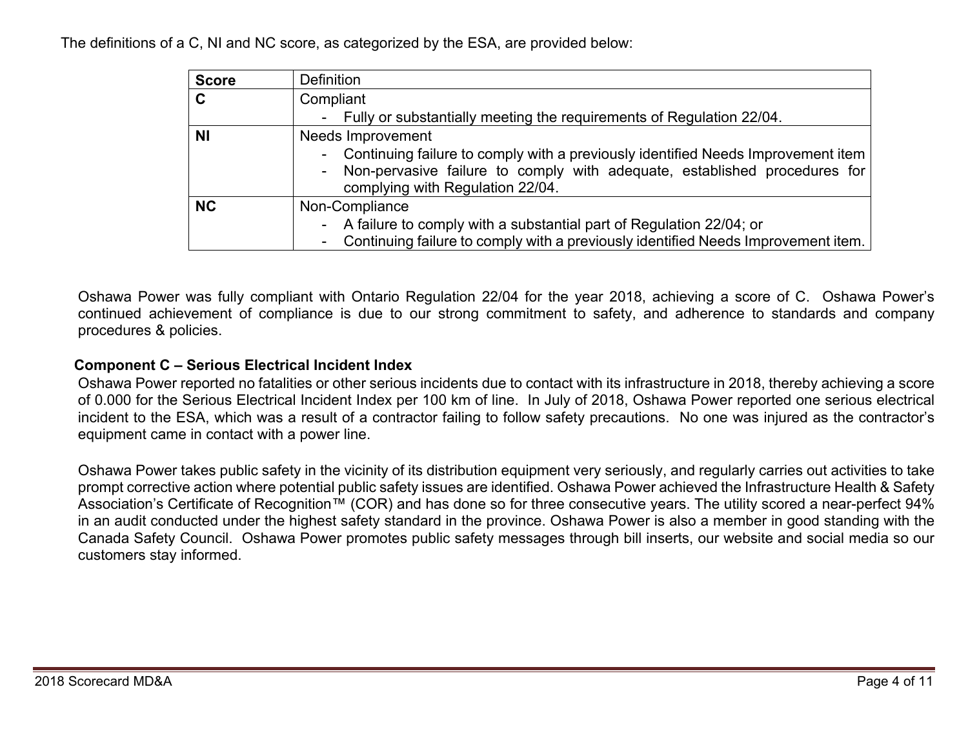The definitions of a C, NI and NC score, as categorized by the ESA, are provided below:

| <b>Score</b> | <b>Definition</b>                                                                                                                                                                                       |
|--------------|---------------------------------------------------------------------------------------------------------------------------------------------------------------------------------------------------------|
| C            | Compliant                                                                                                                                                                                               |
|              | - Fully or substantially meeting the requirements of Regulation 22/04.                                                                                                                                  |
| <b>NI</b>    | <b>Needs Improvement</b>                                                                                                                                                                                |
|              | - Continuing failure to comply with a previously identified Needs Improvement item  <br>- Non-pervasive failure to comply with adequate, established procedures for<br>complying with Regulation 22/04. |
| <b>NC</b>    | Non-Compliance                                                                                                                                                                                          |
|              | - A failure to comply with a substantial part of Regulation 22/04; or<br>- Continuing failure to comply with a previously identified Needs Improvement item.                                            |
|              |                                                                                                                                                                                                         |

Oshawa Power was fully compliant with Ontario Regulation 22/04 for the year 2018, achieving a score of C. Oshawa Power's continued achievement of compliance is due to our strong commitment to safety, and adherence to standards and company procedures & policies.

### **Component C – Serious Electrical Incident Index**

Oshawa Power reported no fatalities or other serious incidents due to contact with its infrastructure in 2018, thereby achieving a score of 0.000 for the Serious Electrical Incident Index per 100 km of line. In July of 2018, Oshawa Power reported one serious electrical incident to the ESA, which was a result of a contractor failing to follow safety precautions. No one was injured as the contractor's equipment came in contact with a power line.

Oshawa Power takes public safety in the vicinity of its distribution equipment very seriously, and regularly carries out activities to take prompt corrective action where potential public safety issues are identified. Oshawa Power achieved the Infrastructure Health & Safety Association's Certificate of Recognition™ (COR) and has done so for three consecutive years. The utility scored a near-perfect 94% in an audit conducted under the highest safety standard in the province. Oshawa Power is also a member in good standing with the Canada Safety Council. Oshawa Power promotes public safety messages through bill inserts, our website and social media so our customers stay informed.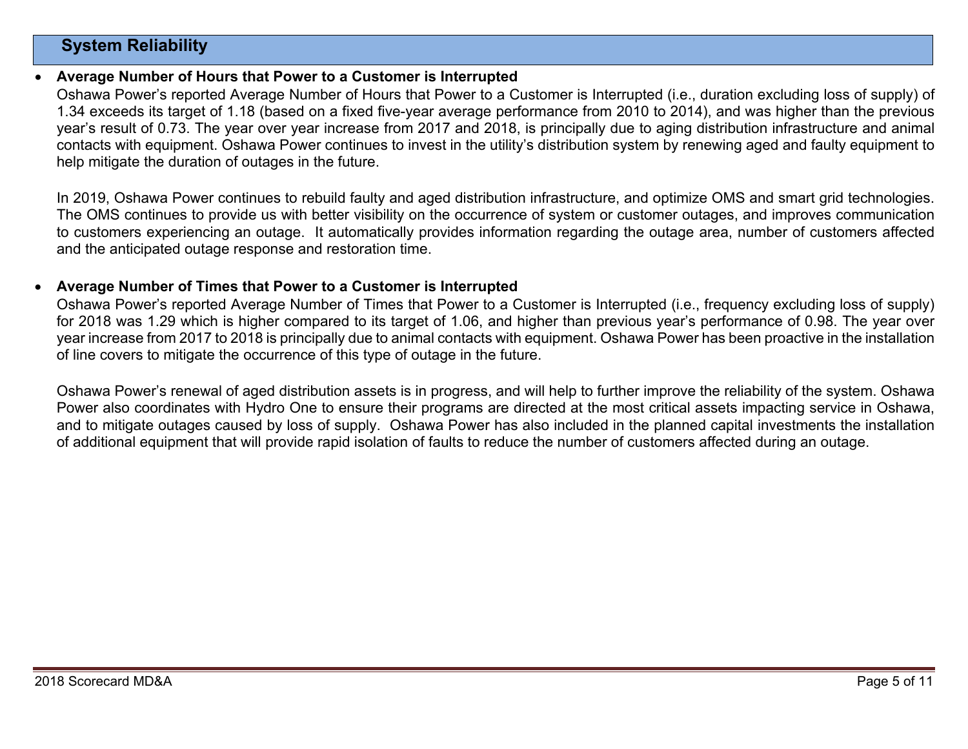# **System Reliability**

#### 0 **Average Number of Hours that Power to a Customer is Interrupted**

Oshawa Power's reported Average Number of Hours that Power to a Customer is Interrupted (i.e., duration excluding loss of supply) of 1.34 exceeds its target of 1.18 (based on a fixed five-year average performance from 2010 to 2014), and was higher than the previous year's result of 0.73. The year over year increase from 2017 and 2018, is principally due to aging distribution infrastructure and animal contacts with equipment. Oshawa Power continues to invest in the utility's distribution system by renewing aged and faulty equipment to help mitigate the duration of outages in the future.

In 2019, Oshawa Power continues to rebuild faulty and aged distribution infrastructure, and optimize OMS and smart grid technologies. The OMS continues to provide us with better visibility on the occurrence of system or customer outages, and improves communication to customers experiencing an outage. It automatically provides information regarding the outage area, number of customers affected and the anticipated outage response and restoration time.

#### 0 **Average Number of Times that Power to a Customer is Interrupted**

Oshawa Power's reported Average Number of Times that Power to a Customer is Interrupted (i.e., frequency excluding loss of supply) for 2018 was 1.29 which is higher compared to its target of 1.06, and higher than previous year's performance of 0.98. The year over year increase from 2017 to 2018 is principally due to animal contacts with equipment. Oshawa Power has been proactive in the installation of line covers to mitigate the occurrence of this type of outage in the future.

Oshawa Power's renewal of aged distribution assets is in progress, and will help to further improve the reliability of the system. Oshawa Power also coordinates with Hydro One to ensure their programs are directed at the most critical assets impacting service in Oshawa, and to mitigate outages caused by loss of supply. Oshawa Power has also included in the planned capital investments the installation of additional equipment that will provide rapid isolation of faults to reduce the number of customers affected during an outage.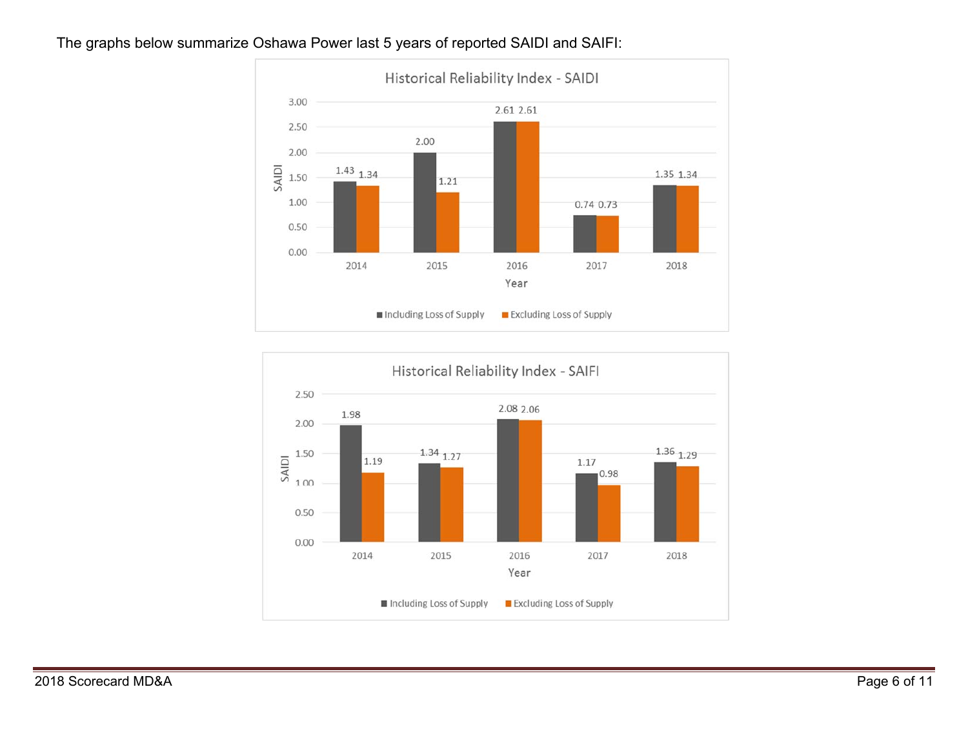### The graphs below summarize Oshawa Power last 5 years of reported SAIDI and SAIFI:



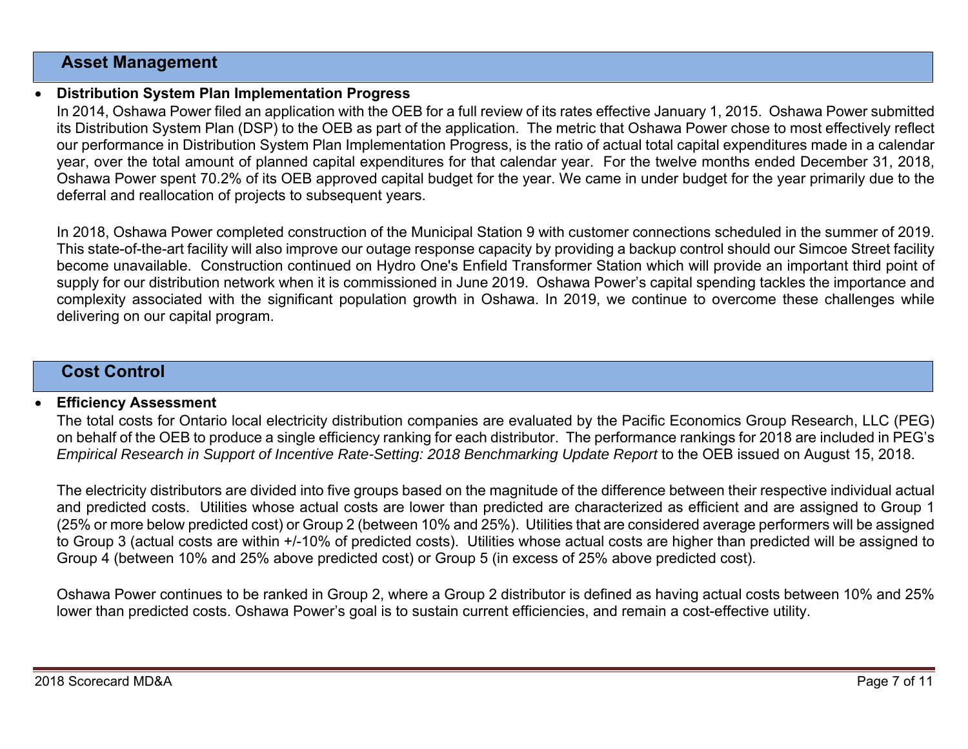### **Asset Management**

0

### **Distribution System Plan Implementation Progress**

In 2014, Oshawa Power filed an application with the OEB for a full review of its rates effective January 1, 2015. Oshawa Power submitted its Distribution System Plan (DSP) to the OEB as part of the application. The metric that Oshawa Power chose to most effectively reflect our performance in Distribution System Plan Implementation Progress, is the ratio of actual total capital expenditures made in a calendar year, over the total amount of planned capital expenditures for that calendar year. For the twelve months ended December 31, 2018, Oshawa Power spent 70.2% of its OEB approved capital budget for the year. We came in under budget for the year primarily due to the deferral and reallocation of projects to subsequent years.

In 2018, Oshawa Power completed construction of the Municipal Station 9 with customer connections scheduled in the summer of 2019. This state-of-the-art facility will also improve our outage response capacity by providing a backup control should our Simcoe Street facility become unavailable. Construction continued on Hydro One's Enfield Transformer Station which will provide an important third point of supply for our distribution network when it is commissioned in June 2019. Oshawa Power's capital spending tackles the importance and complexity associated with the significant population growth in Oshawa. In 2019, we continue to overcome these challenges while delivering on our capital program.

# **Cost Control**

#### 0 **Efficiency Assessment**

The total costs for Ontario local electricity distribution companies are evaluated by the Pacific Economics Group Research, LLC (PEG) on behalf of the OEB to produce a single efficiency ranking for each distributor. The performance rankings for 2018 are included in PEG's *Empirical Research in Support of Incentive Rate-Setting: 2018 Benchmarking Update Report* to the OEB issued on August 15, 2018.

The electricity distributors are divided into five groups based on the magnitude of the difference between their respective individual actual and predicted costs. Utilities whose actual costs are lower than predicted are characterized as efficient and are assigned to Group 1 (25% or more below predicted cost) or Group 2 (between 10% and 25%). Utilities that are considered average performers will be assigned to Group 3 (actual costs are within +/-10% of predicted costs). Utilities whose actual costs are higher than predicted will be assigned to Group 4 (between 10% and 25% above predicted cost) or Group 5 (in excess of 25% above predicted cost).

Oshawa Power continues to be ranked in Group 2, where a Group 2 distributor is defined as having actual costs between 10% and 25% lower than predicted costs. Oshawa Power's goal is to sustain current efficiencies, and remain a cost-effective utility.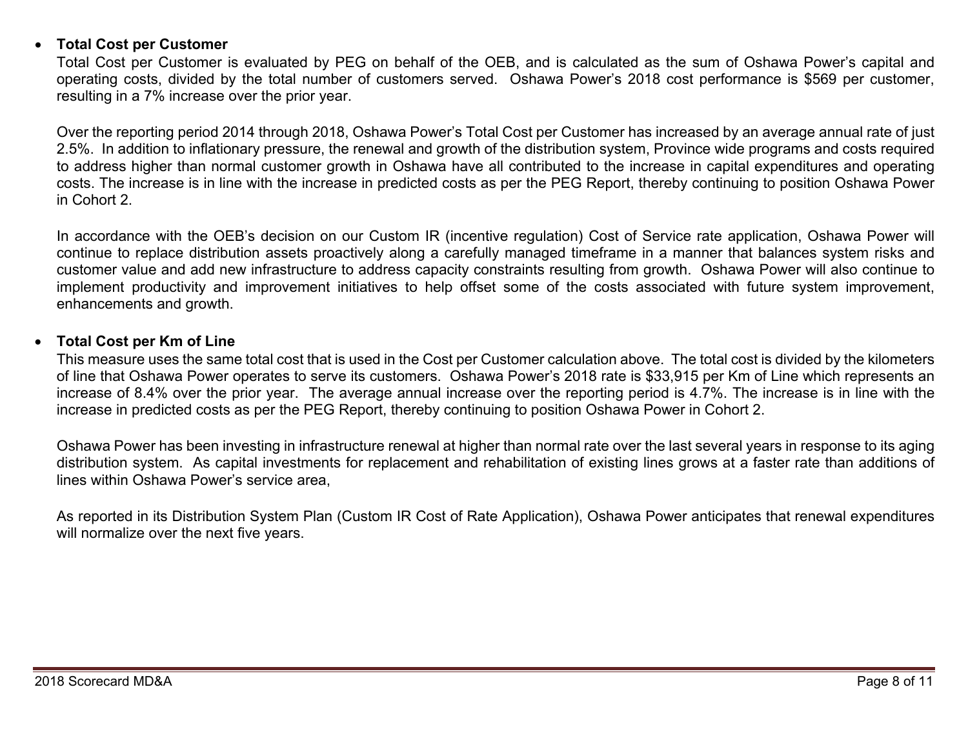#### 0 **Total Cost per Customer**

Total Cost per Customer is evaluated by PEG on behalf of the OEB, and is calculated as the sum of Oshawa Power's capital and operating costs, divided by the total number of customers served. Oshawa Power's 2018 cost performance is \$569 per customer, resulting in a 7% increase over the prior year.

Over the reporting period 2014 through 2018, Oshawa Power's Total Cost per Customer has increased by an average annual rate of just 2.5%. In addition to inflationary pressure, the renewal and growth of the distribution system, Province wide programs and costs required to address higher than normal customer growth in Oshawa have all contributed to the increase in capital expenditures and operating costs. The increase is in line with the increase in predicted costs as per the PEG Report, thereby continuing to position Oshawa Power in Cohort 2.

In accordance with the OEB's decision on our Custom IR (incentive regulation) Cost of Service rate application, Oshawa Power will continue to replace distribution assets proactively along a carefully managed timeframe in a manner that balances system risks and customer value and add new infrastructure to address capacity constraints resulting from growth. Oshawa Power will also continue to implement productivity and improvement initiatives to help offset some of the costs associated with future system improvement, enhancements and growth.

#### 0 **Total Cost per Km of Line**

This measure uses the same total cost that is used in the Cost per Customer calculation above. The total cost is divided by the kilometers of line that Oshawa Power operates to serve its customers. Oshawa Power's 2018 rate is \$33,915 per Km of Line which represents an increase of 8.4% over the prior year. The average annual increase over the reporting period is 4.7%. The increase is in line with the increase in predicted costs as per the PEG Report, thereby continuing to position Oshawa Power in Cohort 2.

Oshawa Power has been investing in infrastructure renewal at higher than normal rate over the last several years in response to its aging distribution system. As capital investments for replacement and rehabilitation of existing lines grows at a faster rate than additions of lines within Oshawa Power's service area,

As reported in its Distribution System Plan (Custom IR Cost of Rate Application), Oshawa Power anticipates that renewal expenditures will normalize over the next five years.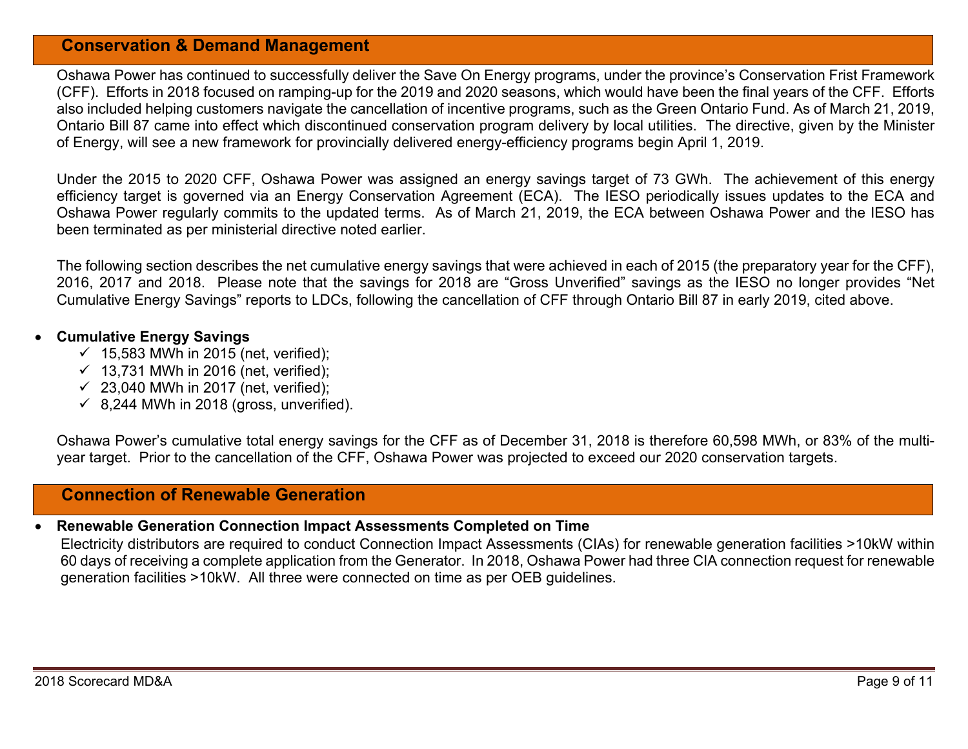# **Conservation & Demand Management**

Oshawa Power has continued to successfully deliver the Save On Energy programs, under the province's Conservation Frist Framework (CFF). Efforts in 2018 focused on ramping-up for the 2019 and 2020 seasons, which would have been the final years of the CFF. Efforts also included helping customers navigate the cancellation of incentive programs, such as the Green Ontario Fund. As of March 21, 2019, Ontario Bill 87 came into effect which discontinued conservation program delivery by local utilities. The directive, given by the Minister of Energy, will see a new framework for provincially delivered energy-efficiency programs begin April 1, 2019.

Under the 2015 to 2020 CFF, Oshawa Power was assigned an energy savings target of 73 GWh. The achievement of this energy efficiency target is governed via an Energy Conservation Agreement (ECA). The IESO periodically issues updates to the ECA and Oshawa Power regularly commits to the updated terms. As of March 21, 2019, the ECA between Oshawa Power and the IESO has been terminated as per ministerial directive noted earlier.

The following section describes the net cumulative energy savings that were achieved in each of 2015 (the preparatory year for the CFF), 2016, 2017 and 2018. Please note that the savings for 2018 are "Gross Unverified" savings as the IESO no longer provides "Net Cumulative Energy Savings" reports to LDCs, following the cancellation of CFF through Ontario Bill 87 in early 2019, cited above.

### **Cumulative Energy Savings**

- $\checkmark$  15,583 MWh in 2015 (net, verified);
- $\checkmark$  13,731 MWh in 2016 (net, verified);
- $\checkmark$  23,040 MWh in 2017 (net, verified);
- $\checkmark$  8,244 MWh in 2018 (gross, unverified).

Oshawa Power's cumulative total energy savings for the CFF as of December 31, 2018 is therefore 60,598 MWh, or 83% of the multiyear target. Prior to the cancellation of the CFF, Oshawa Power was projected to exceed our 2020 conservation targets.

### **Connection of Renewable Generation**

#### 0 **Renewable Generation Connection Impact Assessments Completed on Time**

Electricity distributors are required to conduct Connection Impact Assessments (CIAs) for renewable generation facilities >10kW within 60 days of receiving a complete application from the Generator. In 2018, Oshawa Power had three CIA connection request for renewable generation facilities >10kW. All three were connected on time as per OEB guidelines.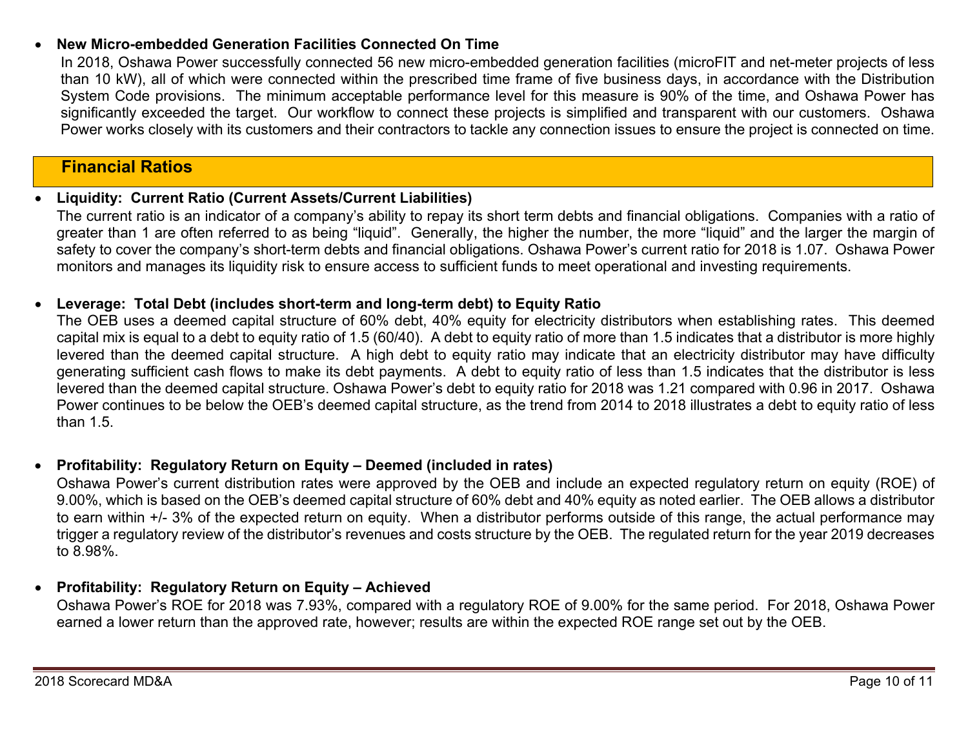### 0 **New Micro-embedded Generation Facilities Connected On Time**

In 2018, Oshawa Power successfully connected 56 new micro-embedded generation facilities (microFIT and net-meter projects of less than 10 kW), all of which were connected within the prescribed time frame of five business days, in accordance with the Distribution System Code provisions. The minimum acceptable performance level for this measure is 90% of the time, and Oshawa Power has significantly exceeded the target. Our workflow to connect these projects is simplified and transparent with our customers. Oshawa Power works closely with its customers and their contractors to tackle any connection issues to ensure the project is connected on time.

# **Financial Ratios**

### 0 **Liquidity: Current Ratio (Current Assets/Current Liabilities)**

The current ratio is an indicator of a company's ability to repay its short term debts and financial obligations. Companies with a ratio of greater than 1 are often referred to as being "liquid". Generally, the higher the number, the more "liquid" and the larger the margin of safety to cover the company's short-term debts and financial obligations. Oshawa Power's current ratio for 2018 is 1.07. Oshawa Power monitors and manages its liquidity risk to ensure access to sufficient funds to meet operational and investing requirements.

### 0 **Leverage: Total Debt (includes short-term and long-term debt) to Equity Ratio**

The OEB uses a deemed capital structure of 60% debt, 40% equity for electricity distributors when establishing rates. This deemed capital mix is equal to a debt to equity ratio of 1.5 (60/40). A debt to equity ratio of more than 1.5 indicates that a distributor is more highly levered than the deemed capital structure. A high debt to equity ratio may indicate that an electricity distributor may have difficulty generating sufficient cash flows to make its debt payments. A debt to equity ratio of less than 1.5 indicates that the distributor is less levered than the deemed capital structure. Oshawa Power's debt to equity ratio for 2018 was 1.21 compared with 0.96 in 2017. Oshawa Power continues to be below the OEB's deemed capital structure, as the trend from 2014 to 2018 illustrates a debt to equity ratio of less than 1.5.

### 0 **Profitability: Regulatory Return on Equity – Deemed (included in rates)**

Oshawa Power's current distribution rates were approved by the OEB and include an expected regulatory return on equity (ROE) of 9.00%, which is based on the OEB's deemed capital structure of 60% debt and 40% equity as noted earlier. The OEB allows a distributor to earn within +/- 3% of the expected return on equity. When a distributor performs outside of this range, the actual performance may trigger a regulatory review of the distributor's revenues and costs structure by the OEB. The regulated return for the year 2019 decreases to 8.98%.

### **Profitability: Regulatory Return on Equity – Achieved**

Oshawa Power's ROE for 2018 was 7.93%, compared with a regulatory ROE of 9.00% for the same period. For 2018, Oshawa Power earned a lower return than the approved rate, however; results are within the expected ROE range set out by the OEB.